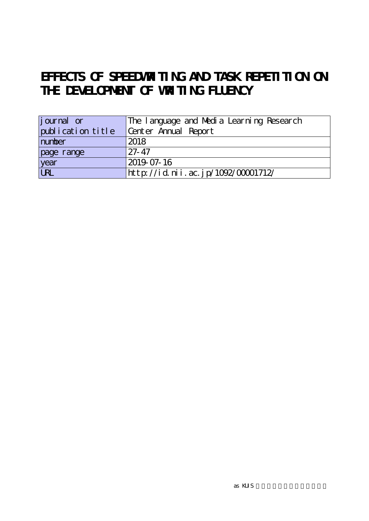## EFFECTS OF SPEEDWRITING AND TASK REPETITION ON **THE DEVELOPMENT OF WRITING FLUENCY**

| <i>j</i> ournal or | The language and Media Learning Research |
|--------------------|------------------------------------------|
| publication title  | Center Annual Report                     |
| number             | 2018                                     |
| page range         | $27 - 47$                                |
| year               | 2019-07-16                               |
| URL                | http://id.nii.ac.jp/1092/00001712/       |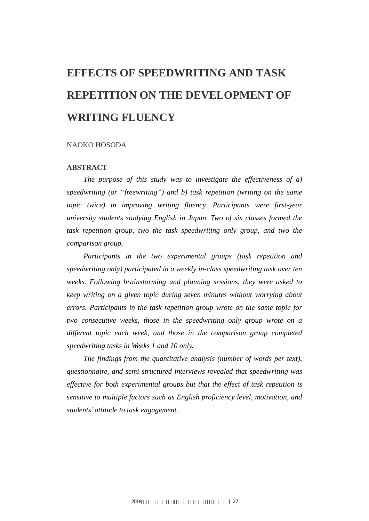# **EFFECTS OF SPEEDWRITING AND TASK REPETITION ON THE DEVELOPMENT OF WRITING FLUENCY**

#### NAOKO HOSODA

#### **ABSTRACT**

*The purpose of this study was to investigate the effectiveness of a) speedwriting (or "freewriting") and b) task repetition (writing on the same topic twice) in improving writing fluency. Participants were first-year university students studying English in Japan. Two of six classes formed the task repetition group, two the task speedwriting only group, and two the comparison group.* 

*Participants in the two experimental groups (task repetition and speedwriting only) participated in a weekly in-class speedwriting task over ten weeks. Following brainstorming and planning sessions, they were asked to keep writing on a given topic during seven minutes without worrying about errors. Participants in the task repetition group wrote on the same topic for two consecutive weeks, those in the speedwriting only group wrote on a different topic each week, and those in the comparison group completed speedwriting tasks in Weeks 1 and 10 only.* 

*The findings from the quantitative analysis (number of words per text), questionnaire, and semi-structured interviews revealed that speedwriting was effective for both experimental groups but that the effect of task repetition is sensitive to multiple factors such as English proficiency level, motivation, and students' attitude to task engagement.*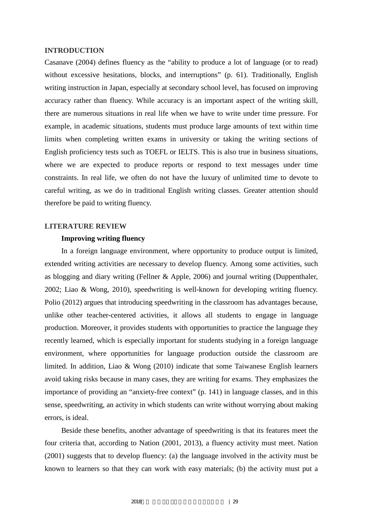#### **INTRODUCTION**

Casanave (2004) defines fluency as the "ability to produce a lot of language (or to read) without excessive hesitations, blocks, and interruptions" (p. 61). Traditionally, English writing instruction in Japan, especially at secondary school level, has focused on improving accuracy rather than fluency. While accuracy is an important aspect of the writing skill, there are numerous situations in real life when we have to write under time pressure. For example, in academic situations, students must produce large amounts of text within time limits when completing written exams in university or taking the writing sections of English proficiency tests such as TOEFL or IELTS. This is also true in business situations, where we are expected to produce reports or respond to text messages under time constraints. In real life, we often do not have the luxury of unlimited time to devote to careful writing, as we do in traditional English writing classes. Greater attention should therefore be paid to writing fluency.

#### **LITERATURE REVIEW**

#### **Improving writing fluency**

In a foreign language environment, where opportunity to produce output is limited, extended writing activities are necessary to develop fluency. Among some activities, such as blogging and diary writing (Fellner & Apple, 2006) and journal writing (Duppenthaler, 2002; Liao & Wong, 2010), speedwriting is well-known for developing writing fluency. Polio (2012) argues that introducing speedwriting in the classroom has advantages because, unlike other teacher-centered activities, it allows all students to engage in language production. Moreover, it provides students with opportunities to practice the language they recently learned, which is especially important for students studying in a foreign language environment, where opportunities for language production outside the classroom are limited. In addition, Liao & Wong (2010) indicate that some Taiwanese English learners avoid taking risks because in many cases, they are writing for exams. They emphasizes the importance of providing an "anxiety-free context" (p. 141) in language classes, and in this sense, speedwriting, an activity in which students can write without worrying about making errors, is ideal.

Beside these benefits, another advantage of speedwriting is that its features meet the four criteria that, according to Nation (2001, 2013), a fluency activity must meet. Nation (2001) suggests that to develop fluency: (a) the language involved in the activity must be known to learners so that they can work with easy materials; (b) the activity must put a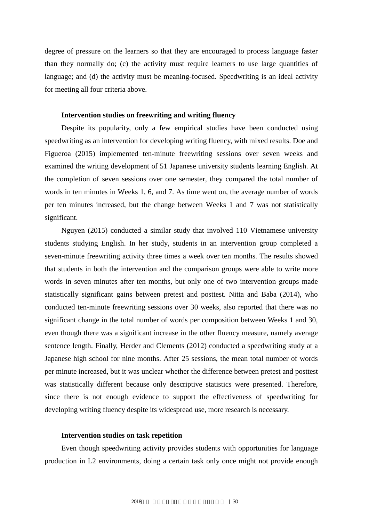degree of pressure on the learners so that they are encouraged to process language faster than they normally do; (c) the activity must require learners to use large quantities of language; and (d) the activity must be meaning-focused. Speedwriting is an ideal activity for meeting all four criteria above.

#### **Intervention studies on freewriting and writing fluency**

Despite its popularity, only a few empirical studies have been conducted using speedwriting as an intervention for developing writing fluency, with mixed results. Doe and Figueroa (2015) implemented ten-minute freewriting sessions over seven weeks and examined the writing development of 51 Japanese university students learning English. At the completion of seven sessions over one semester, they compared the total number of words in ten minutes in Weeks 1, 6, and 7. As time went on, the average number of words per ten minutes increased, but the change between Weeks 1 and 7 was not statistically significant.

Nguyen (2015) conducted a similar study that involved 110 Vietnamese university students studying English. In her study, students in an intervention group completed a seven-minute freewriting activity three times a week over ten months. The results showed that students in both the intervention and the comparison groups were able to write more words in seven minutes after ten months, but only one of two intervention groups made statistically significant gains between pretest and posttest. Nitta and Baba (2014), who conducted ten-minute freewriting sessions over 30 weeks, also reported that there was no significant change in the total number of words per composition between Weeks 1 and 30, even though there was a significant increase in the other fluency measure, namely average sentence length. Finally, Herder and Clements (2012) conducted a speedwriting study at a Japanese high school for nine months. After 25 sessions, the mean total number of words per minute increased, but it was unclear whether the difference between pretest and posttest was statistically different because only descriptive statistics were presented. Therefore, since there is not enough evidence to support the effectiveness of speedwriting for developing writing fluency despite its widespread use, more research is necessary.

#### **Intervention studies on task repetition**

Even though speedwriting activity provides students with opportunities for language production in L2 environments, doing a certain task only once might not provide enough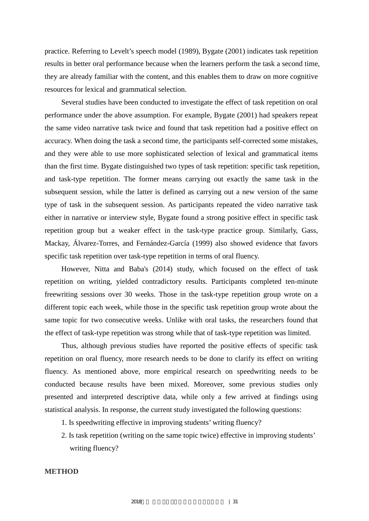practice. Referring to Levelt's speech model (1989), Bygate (2001) indicates task repetition results in better oral performance because when the learners perform the task a second time, they are already familiar with the content, and this enables them to draw on more cognitive resources for lexical and grammatical selection.

Several studies have been conducted to investigate the effect of task repetition on oral performance under the above assumption. For example, Bygate (2001) had speakers repeat the same video narrative task twice and found that task repetition had a positive effect on accuracy. When doing the task a second time, the participants self-corrected some mistakes, and they were able to use more sophisticated selection of lexical and grammatical items than the first time. Bygate distinguished two types of task repetition: specific task repetition, and task-type repetition. The former means carrying out exactly the same task in the subsequent session, while the latter is defined as carrying out a new version of the same type of task in the subsequent session. As participants repeated the video narrative task either in narrative or interview style, Bygate found a strong positive effect in specific task repetition group but a weaker effect in the task-type practice group. Similarly, Gass, Mackay, Álvarez-Torres, and Fernández-García (1999) also showed evidence that favors specific task repetition over task-type repetition in terms of oral fluency.

However, Nitta and Baba's (2014) study, which focused on the effect of task repetition on writing, yielded contradictory results. Participants completed ten-minute freewriting sessions over 30 weeks. Those in the task-type repetition group wrote on a different topic each week, while those in the specific task repetition group wrote about the same topic for two consecutive weeks. Unlike with oral tasks, the researchers found that the effect of task-type repetition was strong while that of task-type repetition was limited.

Thus, although previous studies have reported the positive effects of specific task repetition on oral fluency, more research needs to be done to clarify its effect on writing fluency. As mentioned above, more empirical research on speedwriting needs to be conducted because results have been mixed. Moreover, some previous studies only presented and interpreted descriptive data, while only a few arrived at findings using statistical analysis. In response, the current study investigated the following questions:

- 1. Is speedwriting effective in improving students' writing fluency?
- 2. Is task repetition (writing on the same topic twice) effective in improving students' writing fluency?

**METHOD**

2018年度 言語メディア教育研究センター年報 | 31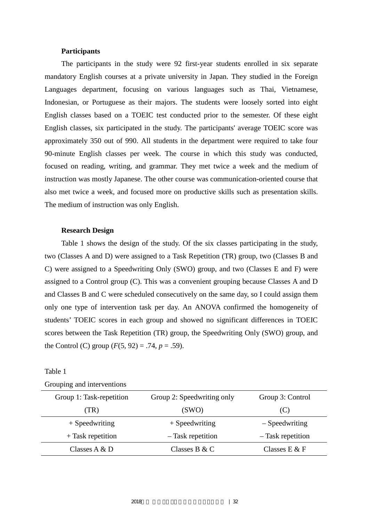#### **Participants**

The participants in the study were 92 first-year students enrolled in six separate mandatory English courses at a private university in Japan. They studied in the Foreign Languages department, focusing on various languages such as Thai, Vietnamese, Indonesian, or Portuguese as their majors. The students were loosely sorted into eight English classes based on a TOEIC test conducted prior to the semester. Of these eight English classes, six participated in the study. The participants' average TOEIC score was approximately 350 out of 990. All students in the department were required to take four 90-minute English classes per week. The course in which this study was conducted, focused on reading, writing, and grammar. They met twice a week and the medium of instruction was mostly Japanese. The other course was communication-oriented course that also met twice a week, and focused more on productive skills such as presentation skills. The medium of instruction was only English.

#### **Research Design**

Table 1 shows the design of the study. Of the six classes participating in the study, two (Classes A and D) were assigned to a Task Repetition (TR) group, two (Classes B and C) were assigned to a Speedwriting Only (SWO) group, and two (Classes E and F) were assigned to a Control group (C). This was a convenient grouping because Classes A and D and Classes B and C were scheduled consecutively on the same day, so I could assign them only one type of intervention task per day. An ANOVA confirmed the homogeneity of students' TOEIC scores in each group and showed no significant differences in TOEIC scores between the Task Repetition (TR) group, the Speedwriting Only (SWO) group, and the Control (C) group  $(F(5, 92) = .74, p = .59)$ .

| Group 1: Task-repetition | Group 2: Speedwriting only | Group 3: Control  |
|--------------------------|----------------------------|-------------------|
| (TR)                     | (SWO)                      | (C)               |
| $+$ Speedwriting         | $+$ Speedwriting           | $-$ Speedwriting  |
| $+$ Task repetition      | - Task repetition          | - Task repetition |
| Classes $A & D$          | Classes B & C              | Classes $E \& F$  |

Table 1

Grouping and interventions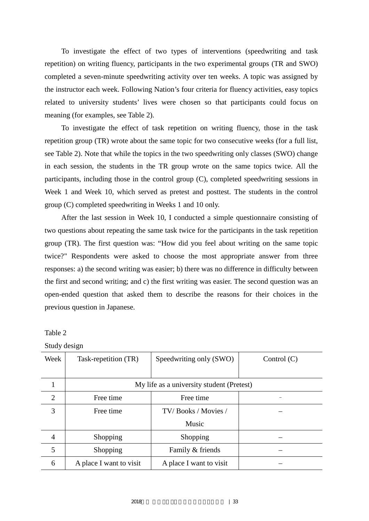To investigate the effect of two types of interventions (speedwriting and task repetition) on writing fluency, participants in the two experimental groups (TR and SWO) completed a seven-minute speedwriting activity over ten weeks. A topic was assigned by the instructor each week. Following Nation's four criteria for fluency activities, easy topics related to university students' lives were chosen so that participants could focus on meaning (for examples, see Table 2).

To investigate the effect of task repetition on writing fluency, those in the task repetition group (TR) wrote about the same topic for two consecutive weeks (for a full list, see Table 2). Note that while the topics in the two speedwriting only classes (SWO) change in each session, the students in the TR group wrote on the same topics twice. All the participants, including those in the control group (C), completed speedwriting sessions in Week 1 and Week 10, which served as pretest and posttest. The students in the control group (C) completed speedwriting in Weeks 1 and 10 only.

After the last session in Week 10, I conducted a simple questionnaire consisting of two questions about repeating the same task twice for the participants in the task repetition group (TR). The first question was: "How did you feel about writing on the same topic twice?" Respondents were asked to choose the most appropriate answer from three responses: a) the second writing was easier; b) there was no difference in difficulty between the first and second writing; and c) the first writing was easier. The second question was an open-ended question that asked them to describe the reasons for their choices in the previous question in Japanese.

Table 2

Study design

| Week           | Task-repetition (TR)    | Speedwriting only (SWO)                   | Control $(C)$ |
|----------------|-------------------------|-------------------------------------------|---------------|
|                |                         |                                           |               |
|                |                         | My life as a university student (Pretest) |               |
| $\overline{2}$ | Free time               | Free time                                 |               |
| 3              | Free time               | TV/Books / Movies /                       |               |
|                |                         | Music                                     |               |
| $\overline{4}$ | Shopping                | Shopping                                  |               |
| 5              | Shopping                | Family & friends                          |               |
| 6              | A place I want to visit | A place I want to visit                   |               |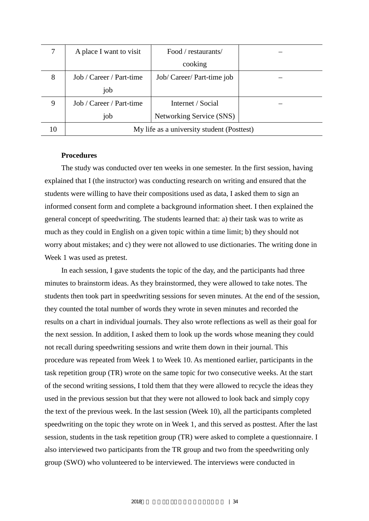|    | A place I want to visit<br>Food / restaurants/ |                            |  |  |  |
|----|------------------------------------------------|----------------------------|--|--|--|
|    |                                                | cooking                    |  |  |  |
| 8  | Job / Career / Part-time                       | Job/ Career/ Part-time job |  |  |  |
|    | job                                            |                            |  |  |  |
| 9  | Job / Career / Part-time                       | Internet / Social          |  |  |  |
|    | job                                            | Networking Service (SNS)   |  |  |  |
| 10 | My life as a university student (Posttest)     |                            |  |  |  |

#### **Procedures**

The study was conducted over ten weeks in one semester. In the first session, having explained that I (the instructor) was conducting research on writing and ensured that the students were willing to have their compositions used as data, I asked them to sign an informed consent form and complete a background information sheet. I then explained the general concept of speedwriting. The students learned that: a) their task was to write as much as they could in English on a given topic within a time limit; b) they should not worry about mistakes; and c) they were not allowed to use dictionaries. The writing done in Week 1 was used as pretest.

In each session, I gave students the topic of the day, and the participants had three minutes to brainstorm ideas. As they brainstormed, they were allowed to take notes. The students then took part in speedwriting sessions for seven minutes. At the end of the session, they counted the total number of words they wrote in seven minutes and recorded the results on a chart in individual journals. They also wrote reflections as well as their goal for the next session. In addition, I asked them to look up the words whose meaning they could not recall during speedwriting sessions and write them down in their journal. This procedure was repeated from Week 1 to Week 10. As mentioned earlier, participants in the task repetition group (TR) wrote on the same topic for two consecutive weeks. At the start of the second writing sessions, I told them that they were allowed to recycle the ideas they used in the previous session but that they were not allowed to look back and simply copy the text of the previous week. In the last session (Week 10), all the participants completed speedwriting on the topic they wrote on in Week 1, and this served as posttest. After the last session, students in the task repetition group (TR) were asked to complete a questionnaire. I also interviewed two participants from the TR group and two from the speedwriting only group (SWO) who volunteered to be interviewed. The interviews were conducted in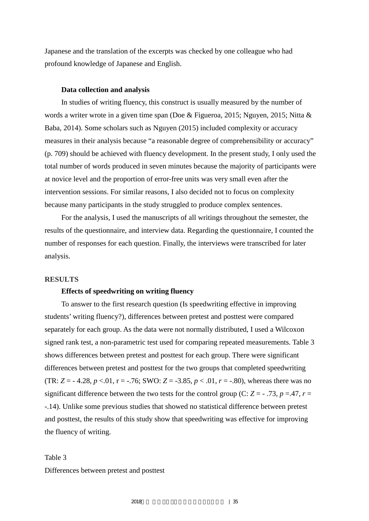Japanese and the translation of the excerpts was checked by one colleague who had profound knowledge of Japanese and English.

#### **Data collection and analysis**

In studies of writing fluency, this construct is usually measured by the number of words a writer wrote in a given time span (Doe & Figueroa, 2015; Nguyen, 2015; Nitta & Baba, 2014). Some scholars such as Nguyen (2015) included complexity or accuracy measures in their analysis because "a reasonable degree of comprehensibility or accuracy" (p. 709) should be achieved with fluency development. In the present study, I only used the total number of words produced in seven minutes because the majority of participants were at novice level and the proportion of error-free units was very small even after the intervention sessions. For similar reasons, I also decided not to focus on complexity because many participants in the study struggled to produce complex sentences.

For the analysis, I used the manuscripts of all writings throughout the semester, the results of the questionnaire, and interview data. Regarding the questionnaire, I counted the number of responses for each question. Finally, the interviews were transcribed for later analysis.

#### **RESULTS**

#### **Effects of speedwriting on writing fluency**

To answer to the first research question (Is speedwriting effective in improving students' writing fluency?), differences between pretest and posttest were compared separately for each group. As the data were not normally distributed, I used a Wilcoxon signed rank test, a non-parametric test used for comparing repeated measurements. Table 3 shows differences between pretest and posttest for each group. There were significant differences between pretest and posttest for the two groups that completed speedwriting (TR:  $Z = -4.28$ ,  $p < 0.01$ ,  $r = -76$ ; SWO:  $Z = -3.85$ ,  $p < 0.01$ ,  $r = -0.80$ ), whereas there was no significant difference between the two tests for the control group (C:  $Z = -0.73$ ,  $p = 0.47$ ,  $r =$ -.14). Unlike some previous studies that showed no statistical difference between pretest and posttest, the results of this study show that speedwriting was effective for improving the fluency of writing.

### Table 3 Differences between pretest and posttest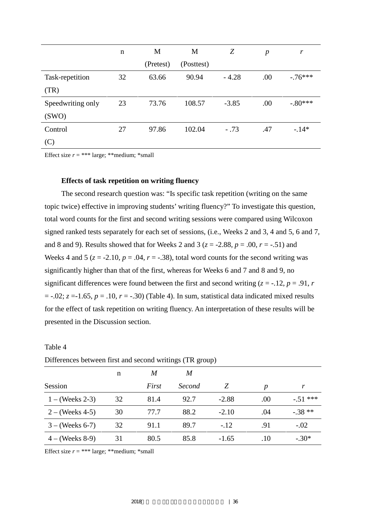|                   | $\mathbf n$ | M         | M          | Z       | $\boldsymbol{p}$ | r         |
|-------------------|-------------|-----------|------------|---------|------------------|-----------|
|                   |             | (Pretest) | (Posttest) |         |                  |           |
| Task-repetition   | 32          | 63.66     | 90.94      | $-4.28$ | .00              | $-.76***$ |
| (TR)              |             |           |            |         |                  |           |
| Speedwriting only | 23          | 73.76     | 108.57     | $-3.85$ | .00              | $-.80***$ |
| (SWO)             |             |           |            |         |                  |           |
| Control           | 27          | 97.86     | 102.04     | $-.73$  | .47              | $-14*$    |
| (C)               |             |           |            |         |                  |           |

Effect size  $r = ***$  large; \*\*medium; \*small

#### **Effects of task repetition on writing fluency**

The second research question was: "Is specific task repetition (writing on the same topic twice) effective in improving students' writing fluency?" To investigate this question, total word counts for the first and second writing sessions were compared using Wilcoxon signed ranked tests separately for each set of sessions, (i.e., Weeks 2 and 3, 4 and 5, 6 and 7, and 8 and 9). Results showed that for Weeks 2 and 3 ( $z = -2.88$ ,  $p = .00$ ,  $r = -.51$ ) and Weeks 4 and 5 ( $z = -2.10$ ,  $p = .04$ ,  $r = -.38$ ), total word counts for the second writing was significantly higher than that of the first, whereas for Weeks 6 and 7 and 8 and 9, no significant differences were found between the first and second writing  $(z = -12, p = .91, r$  $= -.02$ ;  $z = -1.65$ ,  $p = .10$ ,  $r = -.30$ ) (Table 4). In sum, statistical data indicated mixed results for the effect of task repetition on writing fluency. An interpretation of these results will be presented in the Discussion section.

| Differences between first and second writings (TR group) |    |       |               |         |     |           |
|----------------------------------------------------------|----|-------|---------------|---------|-----|-----------|
|                                                          | n  | M     | M             |         |     |           |
| Session                                                  |    | First | <i>Second</i> | Z       | p   | r         |
| $1 - (Weks 2-3)$                                         | 32 | 81.4  | 92.7          | $-2.88$ | .00 | $-.51***$ |
| $2 - (Weeks 4-5)$                                        | 30 | 77.7  | 88.2          | $-2.10$ | .04 | $-.38**$  |
| $3 - (Weeks 6-7)$                                        | 32 | 91.1  | 89.7          | $-.12$  | .91 | $-.02$    |
| $4 - (Weeks 8-9)$                                        | 31 | 80.5  | 85.8          | $-1.65$ | .10 | $-.30*$   |

Differences between first and second writings (TR group)

Effect size  $r = ***$  large; \*\*medium; \*small

Table 4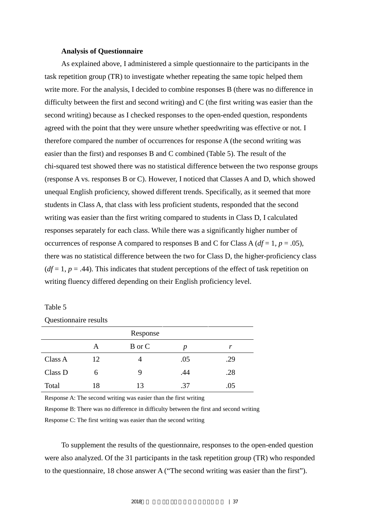#### **Analysis of Questionnaire**

As explained above, I administered a simple questionnaire to the participants in the task repetition group (TR) to investigate whether repeating the same topic helped them write more. For the analysis, I decided to combine responses B (there was no difference in difficulty between the first and second writing) and C (the first writing was easier than the second writing) because as I checked responses to the open-ended question, respondents agreed with the point that they were unsure whether speedwriting was effective or not. I therefore compared the number of occurrences for response A (the second writing was easier than the first) and responses B and C combined (Table 5). The result of the chi-squared test showed there was no statistical difference between the two response groups (response A vs. responses B or C). However, I noticed that Classes A and D, which showed unequal English proficiency, showed different trends. Specifically, as it seemed that more students in Class A, that class with less proficient students, responded that the second writing was easier than the first writing compared to students in Class D, I calculated responses separately for each class. While there was a significantly higher number of occurrences of response A compared to responses B and C for Class A ( $df = 1$ ,  $p = .05$ ), there was no statistical difference between the two for Class D, the higher-proficiency class  $(df = 1, p = .44)$ . This indicates that student perceptions of the effect of task repetition on writing fluency differed depending on their English proficiency level.

#### Table 5

#### Questionnaire results

|         |    | Response |     |     |
|---------|----|----------|-----|-----|
|         | Α  | B or C   | p   |     |
| Class A | 12 |          | .05 | .29 |
| Class D | 6  | 9        | .44 | .28 |
| Total   | 18 | 13       | .37 | .05 |

Response A: The second writing was easier than the first writing

Response B: There was no difference in difficulty between the first and second writing Response C: The first writing was easier than the second writing

To supplement the results of the questionnaire, responses to the open-ended question were also analyzed. Of the 31 participants in the task repetition group (TR) who responded to the questionnaire, 18 chose answer A ("The second writing was easier than the first").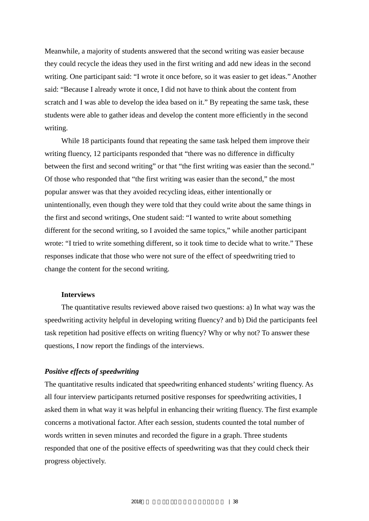Meanwhile, a majority of students answered that the second writing was easier because they could recycle the ideas they used in the first writing and add new ideas in the second writing. One participant said: "I wrote it once before, so it was easier to get ideas." Another said: "Because I already wrote it once, I did not have to think about the content from scratch and I was able to develop the idea based on it." By repeating the same task, these students were able to gather ideas and develop the content more efficiently in the second writing.

While 18 participants found that repeating the same task helped them improve their writing fluency, 12 participants responded that "there was no difference in difficulty between the first and second writing" or that "the first writing was easier than the second." Of those who responded that "the first writing was easier than the second," the most popular answer was that they avoided recycling ideas, either intentionally or unintentionally, even though they were told that they could write about the same things in the first and second writings, One student said: "I wanted to write about something different for the second writing, so I avoided the same topics," while another participant wrote: "I tried to write something different, so it took time to decide what to write." These responses indicate that those who were not sure of the effect of speedwriting tried to change the content for the second writing.

#### **Interviews**

The quantitative results reviewed above raised two questions: a) In what way was the speedwriting activity helpful in developing writing fluency? and b) Did the participants feel task repetition had positive effects on writing fluency? Why or why not? To answer these questions, I now report the findings of the interviews.

#### *Positive effects of speedwriting*

The quantitative results indicated that speedwriting enhanced students' writing fluency. As all four interview participants returned positive responses for speedwriting activities, I asked them in what way it was helpful in enhancing their writing fluency. The first example concerns a motivational factor. After each session, students counted the total number of words written in seven minutes and recorded the figure in a graph. Three students responded that one of the positive effects of speedwriting was that they could check their progress objectively.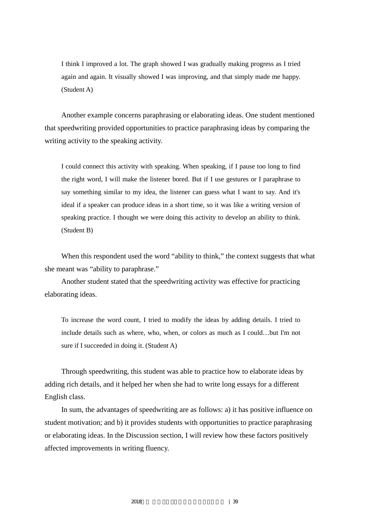I think I improved a lot. The graph showed I was gradually making progress as I tried again and again. It visually showed I was improving, and that simply made me happy. (Student A)

Another example concerns paraphrasing or elaborating ideas. One student mentioned that speedwriting provided opportunities to practice paraphrasing ideas by comparing the writing activity to the speaking activity.

I could connect this activity with speaking. When speaking, if I pause too long to find the right word, I will make the listener bored. But if I use gestures or I paraphrase to say something similar to my idea, the listener can guess what I want to say. And it's ideal if a speaker can produce ideas in a short time, so it was like a writing version of speaking practice. I thought we were doing this activity to develop an ability to think. (Student B)

When this respondent used the word "ability to think," the context suggests that what she meant was "ability to paraphrase."

Another student stated that the speedwriting activity was effective for practicing elaborating ideas.

To increase the word count, I tried to modify the ideas by adding details. I tried to include details such as where, who, when, or colors as much as I could…but I'm not sure if I succeeded in doing it. (Student A)

Through speedwriting, this student was able to practice how to elaborate ideas by adding rich details, and it helped her when she had to write long essays for a different English class.

In sum, the advantages of speedwriting are as follows: a) it has positive influence on student motivation; and b) it provides students with opportunities to practice paraphrasing or elaborating ideas. In the Discussion section, I will review how these factors positively affected improvements in writing fluency.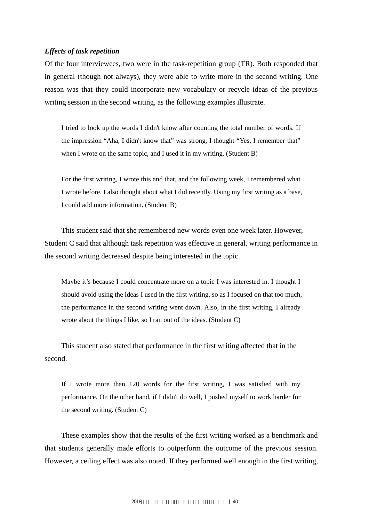#### *Effects of task repetition*

Of the four interviewees, two were in the task-repetition group (TR). Both responded that in general (though not always), they were able to write more in the second writing. One reason was that they could incorporate new vocabulary or recycle ideas of the previous writing session in the second writing, as the following examples illustrate.

I tried to look up the words I didn't know after counting the total number of words. If the impression "Aha, I didn't know that" was strong, I thought "Yes, I remember that" when I wrote on the same topic, and I used it in my writing. (Student B)

For the first writing, I wrote this and that, and the following week, I remembered what I wrote before. I also thought about what I did recently. Using my first writing as a base, I could add more information. (Student B)

This student said that she remembered new words even one week later. However, Student C said that although task repetition was effective in general, writing performance in the second writing decreased despite being interested in the topic.

Maybe it's because I could concentrate more on a topic I was interested in. I thought I should avoid using the ideas I used in the first writing, so as I focused on that too much, the performance in the second writing went down. Also, in the first writing, I already wrote about the things I like, so I ran out of the ideas. (Student C)

This student also stated that performance in the first writing affected that in the second.

If I wrote more than 120 words for the first writing, I was satisfied with my performance. On the other hand, if I didn't do well, I pushed myself to work harder for the second writing. (Student C)

These examples show that the results of the first writing worked as a benchmark and that students generally made efforts to outperform the outcome of the previous session. However, a ceiling effect was also noted. If they performed well enough in the first writing,

2018年度 言語メディア教育研究センター年報 | 40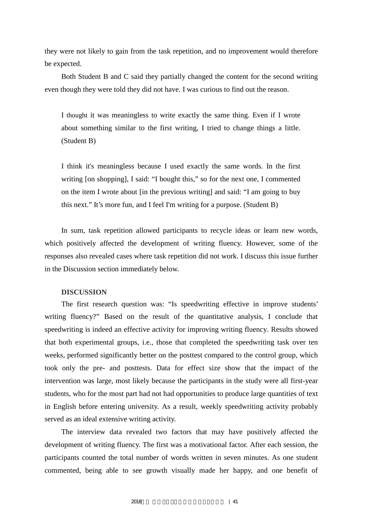they were not likely to gain from the task repetition, and no improvement would therefore be expected.

Both Student B and C said they partially changed the content for the second writing even though they were told they did not have. I was curious to find out the reason.

I thought it was meaningless to write exactly the same thing. Even if I wrote about something similar to the first writing, I tried to change things a little. (Student B)

I think it's meaningless because I used exactly the same words. In the first writing [on shopping], I said: "I bought this," so for the next one, I commented on the item I wrote about [in the previous writing] and said: "I am going to buy this next." It's more fun, and I feel I'm writing for a purpose. (Student B)

In sum, task repetition allowed participants to recycle ideas or learn new words, which positively affected the development of writing fluency. However, some of the responses also revealed cases where task repetition did not work. I discuss this issue further in the Discussion section immediately below.

#### **DISCUSSION**

The first research question was: "Is speedwriting effective in improve students' writing fluency?" Based on the result of the quantitative analysis, I conclude that speedwriting is indeed an effective activity for improving writing fluency. Results showed that both experimental groups, i.e., those that completed the speedwriting task over ten weeks, performed significantly better on the posttest compared to the control group, which took only the pre- and posttests. Data for effect size show that the impact of the intervention was large, most likely because the participants in the study were all first-year students, who for the most part had not had opportunities to produce large quantities of text in English before entering university. As a result, weekly speedwriting activity probably served as an ideal extensive writing activity.

The interview data revealed two factors that may have positively affected the development of writing fluency. The first was a motivational factor. After each session, the participants counted the total number of words written in seven minutes. As one student commented, being able to see growth visually made her happy, and one benefit of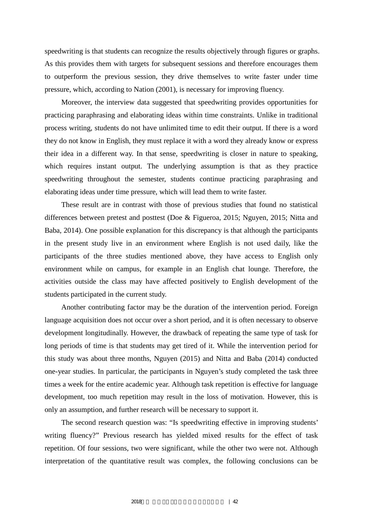speedwriting is that students can recognize the results objectively through figures or graphs. As this provides them with targets for subsequent sessions and therefore encourages them to outperform the previous session, they drive themselves to write faster under time pressure, which, according to Nation (2001), is necessary for improving fluency.

Moreover, the interview data suggested that speedwriting provides opportunities for practicing paraphrasing and elaborating ideas within time constraints. Unlike in traditional process writing, students do not have unlimited time to edit their output. If there is a word they do not know in English, they must replace it with a word they already know or express their idea in a different way. In that sense, speedwriting is closer in nature to speaking, which requires instant output. The underlying assumption is that as they practice speedwriting throughout the semester, students continue practicing paraphrasing and elaborating ideas under time pressure, which will lead them to write faster.

These result are in contrast with those of previous studies that found no statistical differences between pretest and posttest (Doe & Figueroa, 2015; Nguyen, 2015; Nitta and Baba, 2014). One possible explanation for this discrepancy is that although the participants in the present study live in an environment where English is not used daily, like the participants of the three studies mentioned above, they have access to English only environment while on campus, for example in an English chat lounge. Therefore, the activities outside the class may have affected positively to English development of the students participated in the current study.

Another contributing factor may be the duration of the intervention period. Foreign language acquisition does not occur over a short period, and it is often necessary to observe development longitudinally. However, the drawback of repeating the same type of task for long periods of time is that students may get tired of it. While the intervention period for this study was about three months, Nguyen (2015) and Nitta and Baba (2014) conducted one-year studies. In particular, the participants in Nguyen's study completed the task three times a week for the entire academic year. Although task repetition is effective for language development, too much repetition may result in the loss of motivation. However, this is only an assumption, and further research will be necessary to support it.

The second research question was: "Is speedwriting effective in improving students' writing fluency?" Previous research has yielded mixed results for the effect of task repetition. Of four sessions, two were significant, while the other two were not. Although interpretation of the quantitative result was complex, the following conclusions can be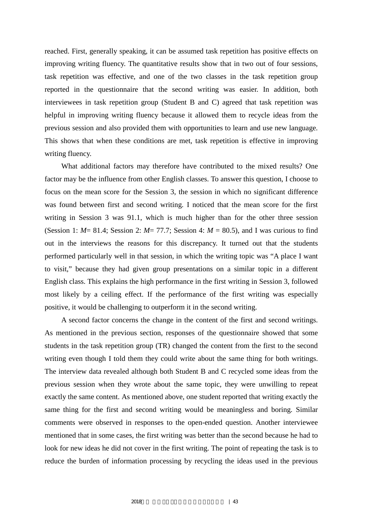reached. First, generally speaking, it can be assumed task repetition has positive effects on improving writing fluency. The quantitative results show that in two out of four sessions, task repetition was effective, and one of the two classes in the task repetition group reported in the questionnaire that the second writing was easier. In addition, both interviewees in task repetition group (Student B and C) agreed that task repetition was helpful in improving writing fluency because it allowed them to recycle ideas from the previous session and also provided them with opportunities to learn and use new language. This shows that when these conditions are met, task repetition is effective in improving writing fluency.

What additional factors may therefore have contributed to the mixed results? One factor may be the influence from other English classes. To answer this question, I choose to focus on the mean score for the Session 3, the session in which no significant difference was found between first and second writing. I noticed that the mean score for the first writing in Session 3 was 91.1, which is much higher than for the other three session (Session 1:  $M = 81.4$ ; Session 2:  $M = 77.7$ ; Session 4:  $M = 80.5$ ), and I was curious to find out in the interviews the reasons for this discrepancy. It turned out that the students performed particularly well in that session, in which the writing topic was "A place I want to visit," because they had given group presentations on a similar topic in a different English class. This explains the high performance in the first writing in Session 3, followed most likely by a ceiling effect. If the performance of the first writing was especially positive, it would be challenging to outperform it in the second writing.

A second factor concerns the change in the content of the first and second writings. As mentioned in the previous section, responses of the questionnaire showed that some students in the task repetition group (TR) changed the content from the first to the second writing even though I told them they could write about the same thing for both writings. The interview data revealed although both Student B and C recycled some ideas from the previous session when they wrote about the same topic, they were unwilling to repeat exactly the same content. As mentioned above, one student reported that writing exactly the same thing for the first and second writing would be meaningless and boring. Similar comments were observed in responses to the open-ended question. Another interviewee mentioned that in some cases, the first writing was better than the second because he had to look for new ideas he did not cover in the first writing. The point of repeating the task is to reduce the burden of information processing by recycling the ideas used in the previous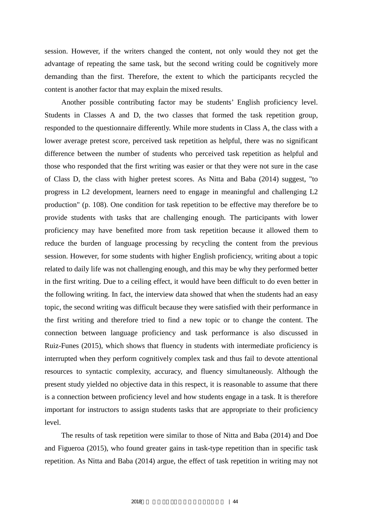session. However, if the writers changed the content, not only would they not get the advantage of repeating the same task, but the second writing could be cognitively more demanding than the first. Therefore, the extent to which the participants recycled the content is another factor that may explain the mixed results.

Another possible contributing factor may be students' English proficiency level. Students in Classes A and D, the two classes that formed the task repetition group, responded to the questionnaire differently. While more students in Class A, the class with a lower average pretest score, perceived task repetition as helpful, there was no significant difference between the number of students who perceived task repetition as helpful and those who responded that the first writing was easier or that they were not sure in the case of Class D, the class with higher pretest scores. As Nitta and Baba (2014) suggest, "to progress in L2 development, learners need to engage in meaningful and challenging L2 production" (p. 108). One condition for task repetition to be effective may therefore be to provide students with tasks that are challenging enough. The participants with lower proficiency may have benefited more from task repetition because it allowed them to reduce the burden of language processing by recycling the content from the previous session. However, for some students with higher English proficiency, writing about a topic related to daily life was not challenging enough, and this may be why they performed better in the first writing. Due to a ceiling effect, it would have been difficult to do even better in the following writing. In fact, the interview data showed that when the students had an easy topic, the second writing was difficult because they were satisfied with their performance in the first writing and therefore tried to find a new topic or to change the content. The connection between language proficiency and task performance is also discussed in Ruiz-Funes (2015), which shows that fluency in students with intermediate proficiency is interrupted when they perform cognitively complex task and thus fail to devote attentional resources to syntactic complexity, accuracy, and fluency simultaneously. Although the present study yielded no objective data in this respect, it is reasonable to assume that there is a connection between proficiency level and how students engage in a task. It is therefore important for instructors to assign students tasks that are appropriate to their proficiency level.

The results of task repetition were similar to those of Nitta and Baba (2014) and Doe and Figueroa (2015), who found greater gains in task-type repetition than in specific task repetition. As Nitta and Baba (2014) argue, the effect of task repetition in writing may not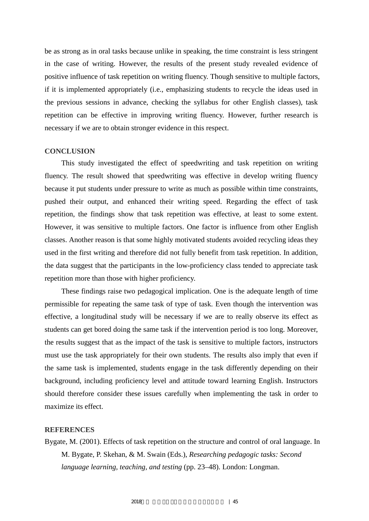be as strong as in oral tasks because unlike in speaking, the time constraint is less stringent in the case of writing. However, the results of the present study revealed evidence of positive influence of task repetition on writing fluency. Though sensitive to multiple factors, if it is implemented appropriately (i.e., emphasizing students to recycle the ideas used in the previous sessions in advance, checking the syllabus for other English classes), task repetition can be effective in improving writing fluency. However, further research is necessary if we are to obtain stronger evidence in this respect.

#### **CONCLUSION**

This study investigated the effect of speedwriting and task repetition on writing fluency. The result showed that speedwriting was effective in develop writing fluency because it put students under pressure to write as much as possible within time constraints, pushed their output, and enhanced their writing speed. Regarding the effect of task repetition, the findings show that task repetition was effective, at least to some extent. However, it was sensitive to multiple factors. One factor is influence from other English classes. Another reason is that some highly motivated students avoided recycling ideas they used in the first writing and therefore did not fully benefit from task repetition. In addition, the data suggest that the participants in the low-proficiency class tended to appreciate task repetition more than those with higher proficiency.

These findings raise two pedagogical implication. One is the adequate length of time permissible for repeating the same task of type of task. Even though the intervention was effective, a longitudinal study will be necessary if we are to really observe its effect as students can get bored doing the same task if the intervention period is too long. Moreover, the results suggest that as the impact of the task is sensitive to multiple factors, instructors must use the task appropriately for their own students. The results also imply that even if the same task is implemented, students engage in the task differently depending on their background, including proficiency level and attitude toward learning English. Instructors should therefore consider these issues carefully when implementing the task in order to maximize its effect.

#### **REFERENCES**

Bygate, M. (2001). Effects of task repetition on the structure and control of oral language. In M. Bygate, P. Skehan, & M. Swain (Eds.), *Researching pedagogic tasks: Second language learning, teaching, and testing* (pp. 23–48). London: Longman.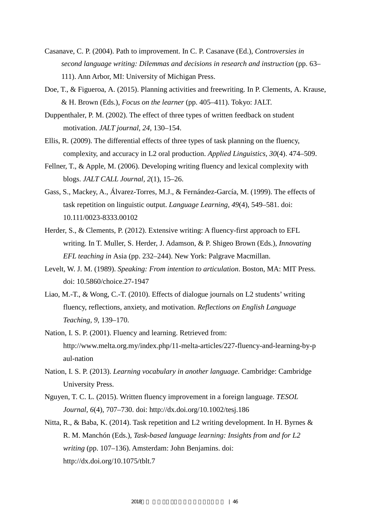- Casanave, C. P. (2004). Path to improvement. In C. P. Casanave (Ed.), *Controversies in second language writing: Dilemmas and decisions in research and instruction* (pp. 63– 111). Ann Arbor, MI: University of Michigan Press.
- Doe, T., & Figueroa, A. (2015). Planning activities and freewriting. In P. Clements, A. Krause, & H. Brown (Eds.), *Focus on the learner* (pp. 405–411). Tokyo: JALT.
- Duppenthaler, P. M. (2002). The effect of three types of written feedback on student motivation. *JALT journal, 24*, 130–154.
- Ellis, R. (2009). The differential effects of three types of task planning on the fluency, complexity, and accuracy in L2 oral production. *Applied Linguistics, 30*(4). 474–509.
- Fellner, T., & Apple, M. (2006). Developing writing fluency and lexical complexity with blogs. *JALT CALL Journal, 2*(1), 15–26.
- Gass, S., Mackey, A., Álvarez-Torres, M.J., & Fernández-García, M. (1999). The effects of task repetition on linguistic output. *Language Learning, 49*(4), 549–581. doi: 10.111/0023-8333.00102
- Herder, S., & Clements, P. (2012). Extensive writing: A fluency-first approach to EFL writing. In T. Muller, S. Herder, J. Adamson, & P. Shigeo Brown (Eds.), *Innovating EFL teaching in* Asia (pp. 232–244). New York: Palgrave Macmillan.
- Levelt, W. J. M. (1989). *Speaking: From intention to articulation*. Boston, MA: MIT Press. doi: 10.5860/choice.27-1947
- Liao, M.-T., & Wong, C.-T. (2010). Effects of dialogue journals on L2 students' writing fluency, reflections, anxiety, and motivation. *Reflections on English Language Teaching, 9*, 139–170.
- Nation, I. S. P. (2001). Fluency and learning. Retrieved from: http://www.melta.org.my/index.php/11-melta-articles/227-fluency-and-learning-by-p aul-nation
- Nation, I. S. P. (2013). *Learning vocabulary in another language*. Cambridge: Cambridge University Press.
- Nguyen, T. C. L. (2015). Written fluency improvement in a foreign language. *TESOL Journal, 6*(4), 707–730. doi: http://dx.doi.org/10.1002/tesj.186
- Nitta, R., & Baba, K. (2014). Task repetition and L2 writing development. In H. Byrnes & R. M. Manchón (Eds.), *Task-based language learning: Insights from and for L2 writing* (pp. 107–136). Amsterdam: John Benjamins. doi: http://dx.doi.org/10.1075/tblt.7